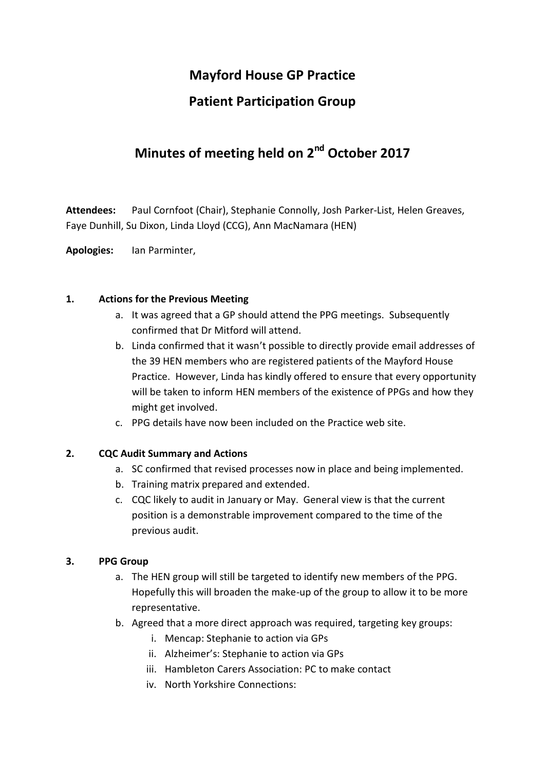## **Mayford House GP Practice**

## **Patient Participation Group**

# **Minutes of meeting held on 2nd October 2017**

**Attendees:** Paul Cornfoot (Chair), Stephanie Connolly, Josh Parker-List, Helen Greaves, Faye Dunhill, Su Dixon, Linda Lloyd (CCG), Ann MacNamara (HEN)

**Apologies:** Ian Parminter,

#### **1. Actions for the Previous Meeting**

- a. It was agreed that a GP should attend the PPG meetings. Subsequently confirmed that Dr Mitford will attend.
- b. Linda confirmed that it wasn't possible to directly provide email addresses of the 39 HEN members who are registered patients of the Mayford House Practice. However, Linda has kindly offered to ensure that every opportunity will be taken to inform HEN members of the existence of PPGs and how they might get involved.
- c. PPG details have now been included on the Practice web site.

#### **2. CQC Audit Summary and Actions**

- a. SC confirmed that revised processes now in place and being implemented.
- b. Training matrix prepared and extended.
- c. CQC likely to audit in January or May. General view is that the current position is a demonstrable improvement compared to the time of the previous audit.

#### **3. PPG Group**

- a. The HEN group will still be targeted to identify new members of the PPG. Hopefully this will broaden the make-up of the group to allow it to be more representative.
- b. Agreed that a more direct approach was required, targeting key groups:
	- i. Mencap: Stephanie to action via GPs
	- ii. Alzheimer's: Stephanie to action via GPs
	- iii. Hambleton Carers Association: PC to make contact
	- iv. North Yorkshire Connections: